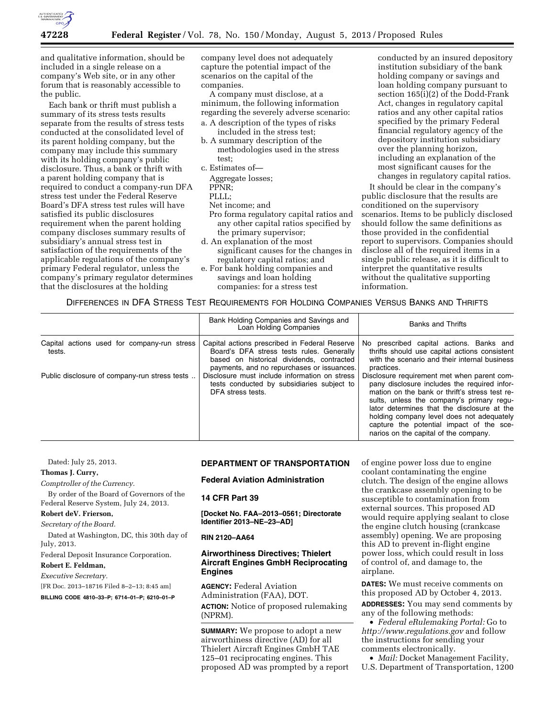

and qualitative information, should be included in a single release on a company's Web site, or in any other forum that is reasonably accessible to the public.

Each bank or thrift must publish a summary of its stress tests results separate from the results of stress tests conducted at the consolidated level of its parent holding company, but the company may include this summary with its holding company's public disclosure. Thus, a bank or thrift with a parent holding company that is required to conduct a company-run DFA stress test under the Federal Reserve Board's DFA stress test rules will have satisfied its public disclosures requirement when the parent holding company discloses summary results of subsidiary's annual stress test in satisfaction of the requirements of the applicable regulations of the company's primary Federal regulator, unless the company's primary regulator determines that the disclosures at the holding

company level does not adequately capture the potential impact of the scenarios on the capital of the companies.

A company must disclose, at a minimum, the following information regarding the severely adverse scenario:

- a. A description of the types of risks included in the stress test;
- b. A summary description of the methodologies used in the stress test;
- c. Estimates of—
	- Aggregate losses;

PPNR;

- PLLL;
- Net income; and
- Pro forma regulatory capital ratios and any other capital ratios specified by the primary supervisor;
- d. An explanation of the most significant causes for the changes in regulatory capital ratios; and
- e. For bank holding companies and savings and loan holding companies: for a stress test

conducted by an insured depository institution subsidiary of the bank holding company or savings and loan holding company pursuant to section 165(i)(2) of the Dodd-Frank Act, changes in regulatory capital ratios and any other capital ratios specified by the primary Federal financial regulatory agency of the depository institution subsidiary over the planning horizon, including an explanation of the most significant causes for the changes in regulatory capital ratios.

It should be clear in the company's public disclosure that the results are conditioned on the supervisory scenarios. Items to be publicly disclosed should follow the same definitions as those provided in the confidential report to supervisors. Companies should disclose all of the required items in a single public release, as it is difficult to interpret the quantitative results without the qualitative supporting information.

# DIFFERENCES IN DFA STRESS TEST REQUIREMENTS FOR HOLDING COMPANIES VERSUS BANKS AND THRIFTS

|                                                       | Bank Holding Companies and Savings and<br>Loan Holding Companies                                                                                                                      | <b>Banks and Thrifts</b>                                                                                                                                                                                                                                                                                                                                                    |
|-------------------------------------------------------|---------------------------------------------------------------------------------------------------------------------------------------------------------------------------------------|-----------------------------------------------------------------------------------------------------------------------------------------------------------------------------------------------------------------------------------------------------------------------------------------------------------------------------------------------------------------------------|
| Capital actions used for company-run stress<br>tests. | Capital actions prescribed in Federal Reserve<br>Board's DFA stress tests rules. Generally<br>based on historical dividends, contracted<br>payments, and no repurchases or issuances. | No prescribed capital actions. Banks and<br>thrifts should use capital actions consistent<br>with the scenario and their internal business<br>practices.                                                                                                                                                                                                                    |
| Public disclosure of company-run stress tests         | Disclosure must include information on stress<br>tests conducted by subsidiaries subject to<br>DFA stress tests.                                                                      | Disclosure requirement met when parent com-<br>pany disclosure includes the required infor-<br>mation on the bank or thrift's stress test re-<br>sults, unless the company's primary requ-<br>lator determines that the disclosure at the<br>holding company level does not adequately<br>capture the potential impact of the sce-<br>narios on the capital of the company. |

Dated: July 25, 2013.

**Thomas J. Curry,** 

*Comptroller of the Currency.* 

By order of the Board of Governors of the Federal Reserve System, July 24, 2013.

#### **Robert deV. Frierson,**

*Secretary of the Board.* 

Dated at Washington, DC, this 30th day of July, 2013.

Federal Deposit Insurance Corporation.

**Robert E. Feldman,** 

*Executive Secretary.* 

[FR Doc. 2013–18716 Filed 8–2–13; 8:45 am]

**BILLING CODE 4810–33–P; 6714–01–P; 6210–01–P** 

# **DEPARTMENT OF TRANSPORTATION**

## **Federal Aviation Administration**

# **14 CFR Part 39**

**[Docket No. FAA–2013–0561; Directorate Identifier 2013–NE–23–AD]** 

**RIN 2120–AA64** 

# **Airworthiness Directives; Thielert Aircraft Engines GmbH Reciprocating Engines**

**AGENCY:** Federal Aviation Administration (FAA), DOT. **ACTION:** Notice of proposed rulemaking (NPRM).

**SUMMARY:** We propose to adopt a new airworthiness directive (AD) for all Thielert Aircraft Engines GmbH TAE 125–01 reciprocating engines. This proposed AD was prompted by a report of engine power loss due to engine coolant contaminating the engine clutch. The design of the engine allows the crankcase assembly opening to be susceptible to contamination from external sources. This proposed AD would require applying sealant to close the engine clutch housing (crankcase assembly) opening. We are proposing this AD to prevent in-flight engine power loss, which could result in loss of control of, and damage to, the airplane.

**DATES:** We must receive comments on this proposed AD by October 4, 2013. **ADDRESSES:** You may send comments by any of the following methods:

• *Federal eRulemaking Portal:* Go to *<http://www.regulations.gov>* and follow the instructions for sending your comments electronically.

• *Mail:* Docket Management Facility, U.S. Department of Transportation, 1200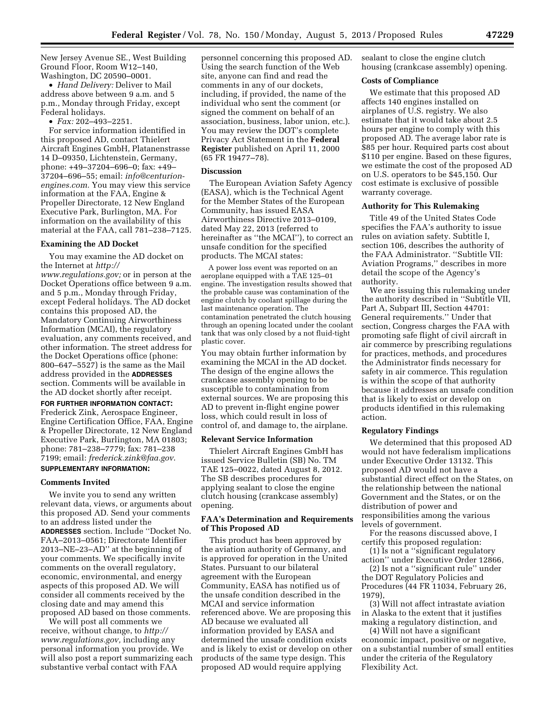New Jersey Avenue SE., West Building Ground Floor, Room W12–140, Washington, DC 20590–0001.

• *Hand Delivery:* Deliver to Mail address above between 9 a.m. and 5 p.m., Monday through Friday, except Federal holidays.

• *Fax:* 202–493–2251.

For service information identified in this proposed AD, contact Thielert Aircraft Engines GmbH, Platanenstrasse 14 D–09350, Lichtenstein, Germany, phone: +49–37204–696–0; fax: +49– 37204–696–55; email: *[info@centurion](mailto:info@centurion-engines.com)[engines.com.](mailto:info@centurion-engines.com)* You may view this service information at the FAA, Engine & Propeller Directorate, 12 New England Executive Park, Burlington, MA. For information on the availability of this material at the FAA, call 781–238–7125.

# **Examining the AD Docket**

You may examine the AD docket on the Internet at *[http://](http://www.regulations.gov)* 

*[www.regulations.gov;](http://www.regulations.gov)* or in person at the Docket Operations office between 9 a.m. and 5 p.m., Monday through Friday, except Federal holidays. The AD docket contains this proposed AD, the Mandatory Continuing Airworthiness Information (MCAI), the regulatory evaluation, any comments received, and other information. The street address for the Docket Operations office (phone: 800–647–5527) is the same as the Mail address provided in the **ADDRESSES** section. Comments will be available in the AD docket shortly after receipt.

# **FOR FURTHER INFORMATION CONTACT:**

Frederick Zink, Aerospace Engineer, Engine Certification Office, FAA, Engine & Propeller Directorate, 12 New England Executive Park, Burlington, MA 01803; phone: 781–238–7779; fax: 781–238 7199; email: *[frederick.zink@faa.gov](mailto:frederick.zink@faa.gov)*.

# **SUPPLEMENTARY INFORMATION:**

# **Comments Invited**

We invite you to send any written relevant data, views, or arguments about this proposed AD. Send your comments to an address listed under the **ADDRESSES** section. Include ''Docket No. FAA–2013–0561; Directorate Identifier 2013–NE–23–AD'' at the beginning of your comments. We specifically invite comments on the overall regulatory, economic, environmental, and energy aspects of this proposed AD. We will consider all comments received by the closing date and may amend this proposed AD based on those comments.

We will post all comments we receive, without change, to *[http://](http://www.regulations.gov) [www.regulations.gov,](http://www.regulations.gov)* including any personal information you provide. We will also post a report summarizing each substantive verbal contact with FAA

personnel concerning this proposed AD. Using the search function of the Web site, anyone can find and read the comments in any of our dockets, including, if provided, the name of the individual who sent the comment (or signed the comment on behalf of an association, business, labor union, etc.). You may review the DOT's complete Privacy Act Statement in the **Federal Register** published on April 11, 2000 (65 FR 19477–78).

#### **Discussion**

The European Aviation Safety Agency (EASA), which is the Technical Agent for the Member States of the European Community, has issued EASA Airworthiness Directive 2013–0109, dated May 22, 2013 (referred to hereinafter as ''the MCAI''), to correct an unsafe condition for the specified products. The MCAI states:

A power loss event was reported on an aeroplane equipped with a TAE 125–01 engine. The investigation results showed that the probable cause was contamination of the engine clutch by coolant spillage during the last maintenance operation. The contamination penetrated the clutch housing through an opening located under the coolant tank that was only closed by a not fluid-tight plastic cover.

You may obtain further information by examining the MCAI in the AD docket. The design of the engine allows the crankcase assembly opening to be susceptible to contamination from external sources. We are proposing this AD to prevent in-flight engine power loss, which could result in loss of control of, and damage to, the airplane.

#### **Relevant Service Information**

Thielert Aircraft Engines GmbH has issued Service Bulletin (SB) No. TM TAE 125–0022, dated August 8, 2012. The SB describes procedures for applying sealant to close the engine clutch housing (crankcase assembly) opening.

# **FAA's Determination and Requirements of This Proposed AD**

This product has been approved by the aviation authority of Germany, and is approved for operation in the United States. Pursuant to our bilateral agreement with the European Community, EASA has notified us of the unsafe condition described in the MCAI and service information referenced above. We are proposing this AD because we evaluated all information provided by EASA and determined the unsafe condition exists and is likely to exist or develop on other products of the same type design. This proposed AD would require applying

sealant to close the engine clutch housing (crankcase assembly) opening.

## **Costs of Compliance**

We estimate that this proposed AD affects 140 engines installed on airplanes of U.S. registry. We also estimate that it would take about 2.5 hours per engine to comply with this proposed AD. The average labor rate is \$85 per hour. Required parts cost about \$110 per engine. Based on these figures, we estimate the cost of the proposed AD on U.S. operators to be \$45,150. Our cost estimate is exclusive of possible warranty coverage.

### **Authority for This Rulemaking**

Title 49 of the United States Code specifies the FAA's authority to issue rules on aviation safety. Subtitle I, section 106, describes the authority of the FAA Administrator. ''Subtitle VII: Aviation Programs,'' describes in more detail the scope of the Agency's authority.

We are issuing this rulemaking under the authority described in ''Subtitle VII, Part A, Subpart III, Section 44701: General requirements.'' Under that section, Congress charges the FAA with promoting safe flight of civil aircraft in air commerce by prescribing regulations for practices, methods, and procedures the Administrator finds necessary for safety in air commerce. This regulation is within the scope of that authority because it addresses an unsafe condition that is likely to exist or develop on products identified in this rulemaking action.

### **Regulatory Findings**

We determined that this proposed AD would not have federalism implications under Executive Order 13132. This proposed AD would not have a substantial direct effect on the States, on the relationship between the national Government and the States, or on the distribution of power and responsibilities among the various levels of government.

For the reasons discussed above, I certify this proposed regulation:

(1) Is not a ''significant regulatory action'' under Executive Order 12866,

(2) Is not a ''significant rule'' under the DOT Regulatory Policies and Procedures (44 FR 11034, February 26, 1979),

(3) Will not affect intrastate aviation in Alaska to the extent that it justifies making a regulatory distinction, and

(4) Will not have a significant economic impact, positive or negative, on a substantial number of small entities under the criteria of the Regulatory Flexibility Act.